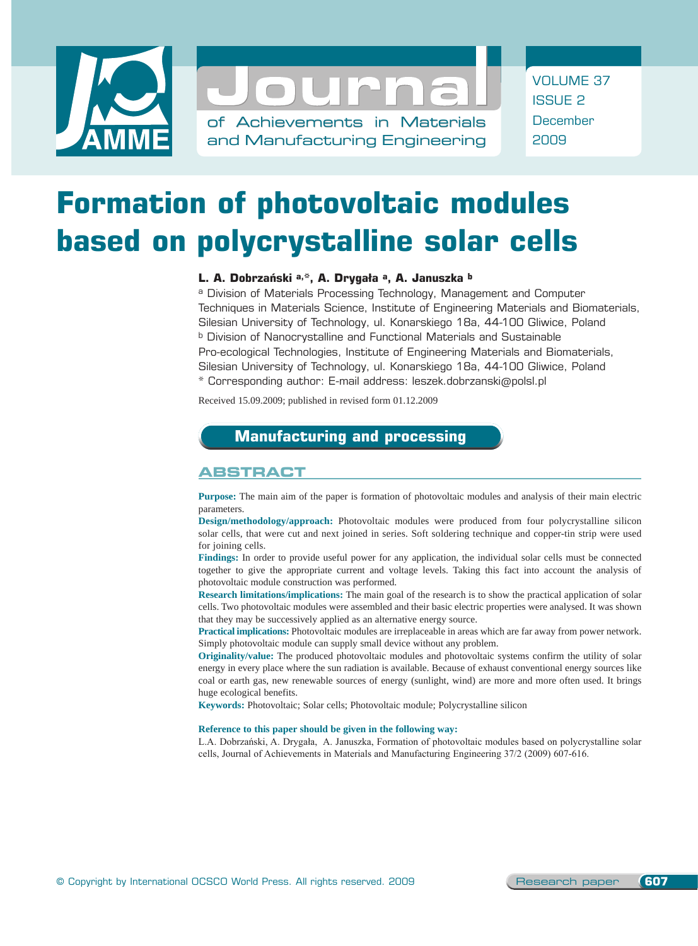

# **Formation of photovoltaic modules based on polycrystalline solar cells**

#### **L. A. Dobrzański a,\*, A. Drygała a, A. Januszka b**

a Division of Materials Processing Technology, Management and Computer Techniques in Materials Science, Institute of Engineering Materials and Biomaterials, Silesian University of Technology, ul. Konarskiego 18a, 44-100 Gliwice, Poland **b Division of Nanocrystalline and Functional Materials and Sustainable** Pro-ecological Technologies, Institute of Engineering Materials and Biomaterials, Silesian University of Technology, ul. Konarskiego 18a, 44-100 Gliwice, Poland \* Corresponding author: E-mail address: leszek.dobrzanski@polsl.pl

Received 15.09.2009; published in revised form 01.12.2009

# **Manufacturing and processing**

#### **Abstract**

**Purpose:** The main aim of the paper is formation of photovoltaic modules and analysis of their main electric parameters.

**Design/methodology/approach:** Photovoltaic modules were produced from four polycrystalline silicon solar cells, that were cut and next joined in series. Soft soldering technique and copper-tin strip were used for joining cells.

**Findings:** In order to provide useful power for any application, the individual solar cells must be connected together to give the appropriate current and voltage levels. Taking this fact into account the analysis of photovoltaic module construction was performed.

**Research limitations/implications:** The main goal of the research is to show the practical application of solar cells. Two photovoltaic modules were assembled and their basic electric properties were analysed. It was shown that they may be successively applied as an alternative energy source.

**Practical implications:** Photovoltaic modules are irreplaceable in areas which are far away from power network. Simply photovoltaic module can supply small device without any problem.

**Originality/value:** The produced photovoltaic modules and photovoltaic systems confirm the utility of solar energy in every place where the sun radiation is available. Because of exhaust conventional energy sources like coal or earth gas, new renewable sources of energy (sunlight, wind) are more and more often used. It brings huge ecological benefits.

**Keywords:** Photovoltaic; Solar cells; Photovoltaic module; Polycrystalline silicon

#### **Reference to this paper should be given in the following way:**

L.A. Dobrzański, A. Drygała, A. Januszka, Formation of photovoltaic modules based on polycrystalline solar cells, Journal of Achievements in Materials and Manufacturing Engineering 37/2 (2009) 607-616.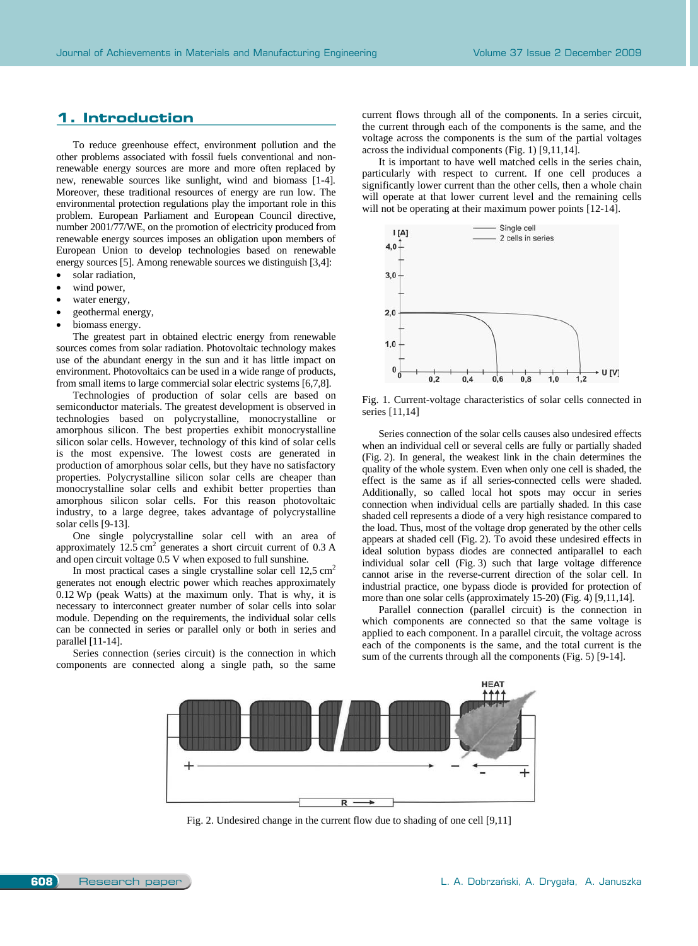# **1. Introduction 1. Introduction**

To reduce greenhouse effect, environment pollution and the other problems associated with fossil fuels conventional and nonrenewable energy sources are more and more often replaced by new, renewable sources like sunlight, wind and biomass [1-4]. Moreover, these traditional resources of energy are run low. The environmental protection regulations play the important role in this problem. European Parliament and European Council directive, number 2001/77/WE, on the promotion of electricity produced from renewable energy sources imposes an obligation upon members of European Union to develop technologies based on renewable energy sources [5]. Among renewable sources we distinguish [3,4]:

- solar radiation,
- wind power,
- water energy,
- geothermal energy,
- biomass energy.

The greatest part in obtained electric energy from renewable sources comes from solar radiation. Photovoltaic technology makes use of the abundant energy in the sun and it has little impact on environment. Photovoltaics can be used in a wide range of products, from small items to large commercial solar electric systems [6,7,8].

Technologies of production of solar cells are based on semiconductor materials. The greatest development is observed in technologies based on polycrystalline, monocrystalline or amorphous silicon. The best properties exhibit monocrystalline silicon solar cells. However, technology of this kind of solar cells is the most expensive. The lowest costs are generated in production of amorphous solar cells, but they have no satisfactory properties. Polycrystalline silicon solar cells are cheaper than monocrystalline solar cells and exhibit better properties than amorphous silicon solar cells. For this reason photovoltaic industry, to a large degree, takes advantage of polycrystalline solar cells [9-13].

One single polycrystalline solar cell with an area of approximately  $12.5 \text{ cm}^2$  generates a short circuit current of 0.3 A and open circuit voltage 0.5 V when exposed to full sunshine.

In most practical cases a single crystalline solar cell  $12.5 \text{ cm}^2$ generates not enough electric power which reaches approximately 0.12 Wp (peak Watts) at the maximum only. That is why, it is necessary to interconnect greater number of solar cells into solar module. Depending on the requirements, the individual solar cells can be connected in series or parallel only or both in series and parallel [11-14].

Series connection (series circuit) is the connection in which components are connected along a single path, so the same

current flows through all of the components. In a series circuit, the current through each of the components is the same, and the voltage across the components is the sum of the partial voltages across the individual components (Fig. 1) [9,11,14].

It is important to have well matched cells in the series chain, particularly with respect to current. If one cell produces a significantly lower current than the other cells, then a whole chain will operate at that lower current level and the remaining cells will not be operating at their maximum power points [12-14].



Fig. 1. Current-voltage characteristics of solar cells connected in series [11,14]

Series connection of the solar cells causes also undesired effects when an individual cell or several cells are fully or partially shaded (Fig. 2). In general, the weakest link in the chain determines the quality of the whole system. Even when only one cell is shaded, the effect is the same as if all series-connected cells were shaded. Additionally, so called local hot spots may occur in series connection when individual cells are partially shaded. In this case shaded cell represents a diode of a very high resistance compared to the load. Thus, most of the voltage drop generated by the other cells appears at shaded cell (Fig. 2). To avoid these undesired effects in ideal solution bypass diodes are connected antiparallel to each individual solar cell (Fig. 3) such that large voltage difference cannot arise in the reverse-current direction of the solar cell. In industrial practice, one bypass diode is provided for protection of more than one solar cells (approximately 15-20) (Fig. 4) [9,11,14].

Parallel connection (parallel circuit) is the connection in which components are connected so that the same voltage is applied to each component. In a parallel circuit, the voltage across each of the components is the same, and the total current is the sum of the currents through all the components (Fig. 5) [9-14].



Fig. 2. Undesired change in the current flow due to shading of one cell [9,11]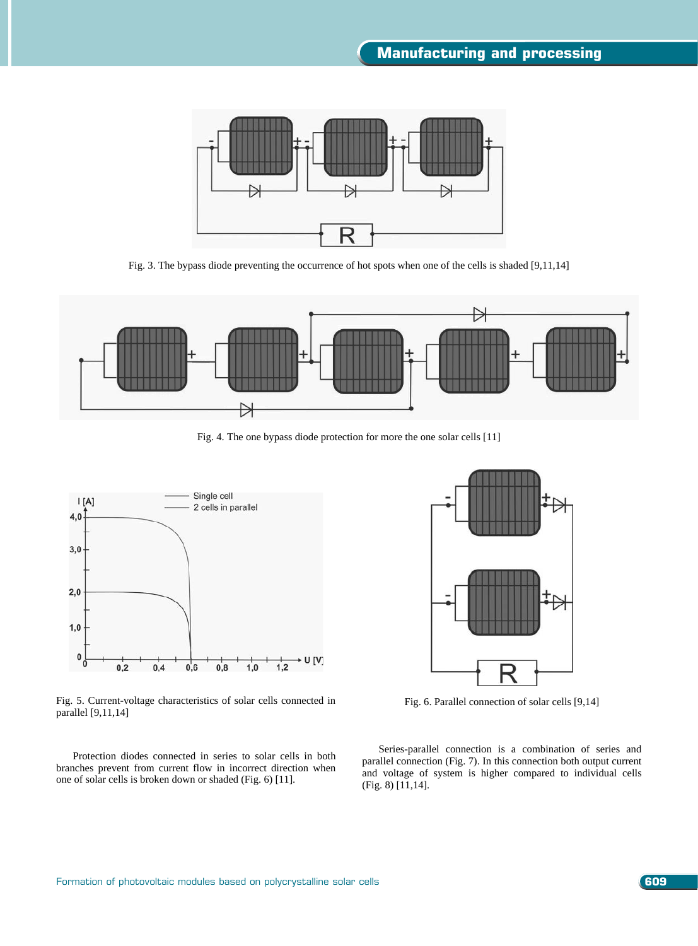

Fig. 3. The bypass diode preventing the occurrence of hot spots when one of the cells is shaded [9,11,14]



Fig. 4. The one bypass diode protection for more the one solar cells [11]



Fig. 5. Current-voltage characteristics of solar cells connected in parallel [9,11,14]

Protection diodes connected in series to solar cells in both branches prevent from current flow in incorrect direction when one of solar cells is broken down or shaded (Fig. 6) [11].



Fig. 6. Parallel connection of solar cells [9,14]

Series-parallel connection is a combination of series and parallel connection (Fig. 7). In this connection both output current and voltage of system is higher compared to individual cells (Fig. 8) [11,14].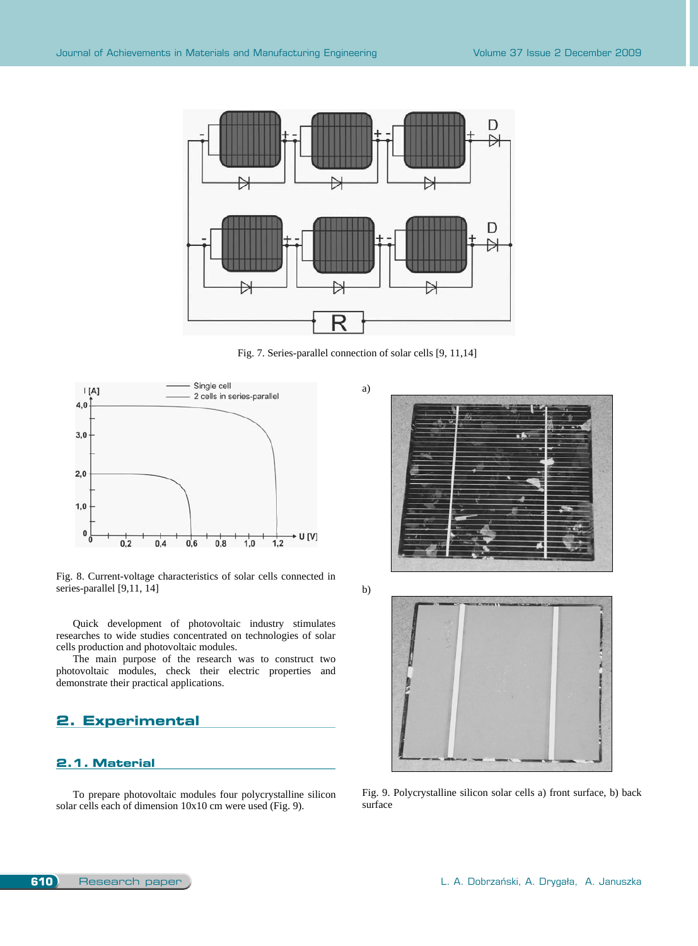

Fig. 7. Series-parallel connection of solar cells [9, 11,14]

a)



Fig. 8. Current-voltage characteristics of solar cells connected in series-parallel [9,11, 14]

Quick development of photovoltaic industry stimulates researches to wide studies concentrated on technologies of solar cells production and photovoltaic modules.

The main purpose of the research was to construct two photovoltaic modules, check their electric properties and demonstrate their practical applications.

# **2. Experimental 2. Experimental**

#### **2.1. Material 2.1. Material**

To prepare photovoltaic modules four polycrystalline silicon solar cells each of dimension 10x10 cm were used (Fig. 9).



b)



Fig. 9. Polycrystalline silicon solar cells a) front surface, b) back surface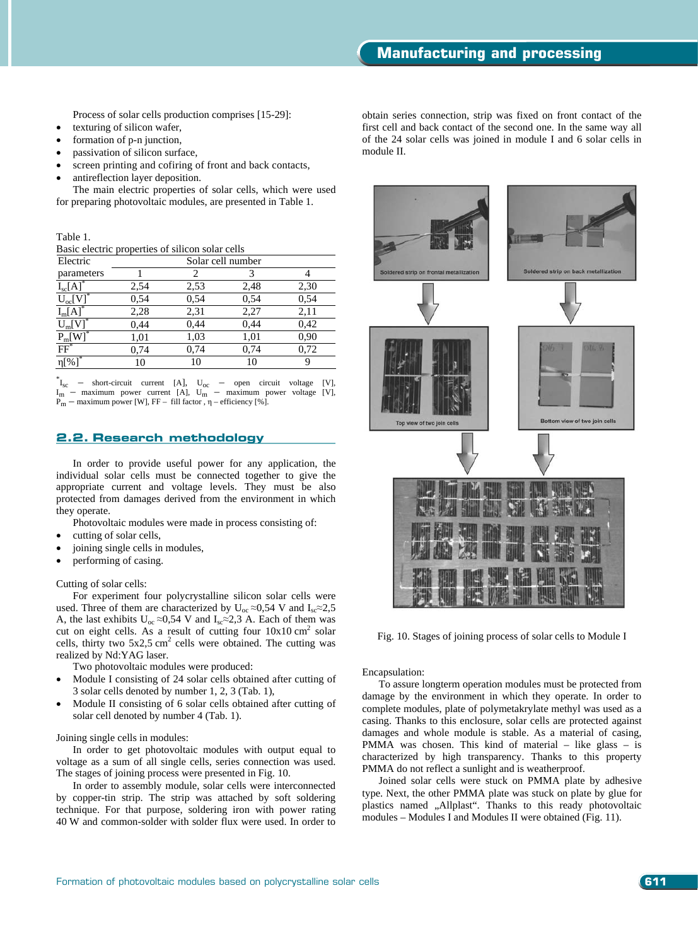Process of solar cells production comprises [15-29]:

- texturing of silicon wafer.
- formation of p-n junction,
- passivation of silicon surface,
- screen printing and cofiring of front and back contacts,
- antireflection layer deposition.

The main electric properties of solar cells, which were used for preparing photovoltaic modules, are presented in Table 1.

| Table |  |
|-------|--|
|       |  |

Basic electric properties of silicon solar cells

| Electric              | Solar cell number |      |      |      |
|-----------------------|-------------------|------|------|------|
| parameters            |                   |      |      |      |
| $I_{sc}[A]$           | 2,54              | 2,53 | 2,48 | 2,30 |
| $U_{oc}[V]$           | 0,54              | 0,54 | 0,54 | 0,54 |
| $I_m[A]$              | 2,28              | 2,31 | 2,27 | 2,11 |
| $U_m[V]$              | 0,44              | 0,44 | 0,44 | 0,42 |
| $\frac{P_m[W]}{FF^*}$ | 1,01              | 1,03 | 1,01 | 0,90 |
|                       | 0,74              | 0.74 | 0,74 | 0,72 |
| $\eta[%]$             | 10                | 10   | 10   |      |

 ${}^*I_{\rm sc}$  – short-circuit current [A],  $U_{\rm oc}$  – open circuit voltage [V], - maximum power current [A],  $U_m$  – maximum power voltage [V],  $P_m$  – maximum power [W], FF – fill factor,  $\eta$  – efficiency [%].

#### **2.2. Research methodology 2.2. Research methodology**

In order to provide useful power for any application, the individual solar cells must be connected together to give the appropriate current and voltage levels. They must be also protected from damages derived from the environment in which they operate.

Photovoltaic modules were made in process consisting of:

- cutting of solar cells,
- joining single cells in modules,
- performing of casing.

Cutting of solar cells:

For experiment four polycrystalline silicon solar cells were used. Three of them are characterized by  $U_{\text{oc}} \approx 0.54$  V and  $I_{\text{sc}} \approx 2.5$ A, the last exhibits  $U_{\text{oc}} \approx 0.54$  V and  $I_{\text{sc}} \approx 2.3$  A. Each of them was cut on eight cells. As a result of cutting four  $10x10 \text{ cm}^2$  solar cells, thirty two  $5x2.5$  cm<sup>2</sup> cells were obtained. The cutting was realized by Nd:YAG laser.

Two photovoltaic modules were produced:

- Module I consisting of 24 solar cells obtained after cutting of 3 solar cells denoted by number 1, 2, 3 (Tab. 1),
- Module II consisting of 6 solar cells obtained after cutting of solar cell denoted by number 4 (Tab. 1).

#### Joining single cells in modules:

In order to get photovoltaic modules with output equal to voltage as a sum of all single cells, series connection was used. The stages of joining process were presented in Fig. 10.

In order to assembly module, solar cells were interconnected by copper-tin strip. The strip was attached by soft soldering technique. For that purpose, soldering iron with power rating 40 W and common-solder with solder flux were used. In order to

obtain series connection, strip was fixed on front contact of the first cell and back contact of the second one. In the same way all of the 24 solar cells was joined in module I and 6 solar cells in module II.



Fig. 10. Stages of joining process of solar cells to Module I

Encapsulation:

To assure longterm operation modules must be protected from damage by the environment in which they operate. In order to complete modules, plate of polymetakrylate methyl was used as a casing. Thanks to this enclosure, solar cells are protected against damages and whole module is stable. As a material of casing, PMMA was chosen. This kind of material – like glass – is characterized by high transparency. Thanks to this property PMMA do not reflect a sunlight and is weatherproof.

Joined solar cells were stuck on PMMA plate by adhesive type. Next, the other PMMA plate was stuck on plate by glue for plastics named "Allplast". Thanks to this ready photovoltaic modules – Modules I and Modules II were obtained (Fig. 11).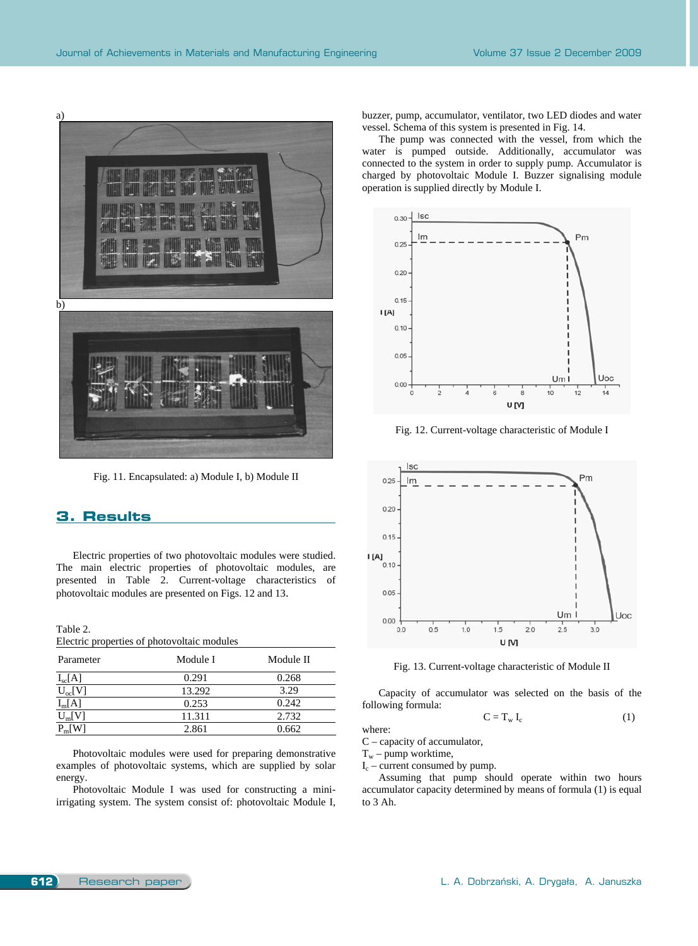

Fig. 11. Encapsulated: a) Module I, b) Module II

# **3. Results 3. Results**

Electric properties of two photovoltaic modules were studied. The main electric properties of photovoltaic modules, are presented in Table 2. Current-voltage characteristics of photovoltaic modules are presented on Figs. 12 and 13.

| Table 2. |  |                                             |  |
|----------|--|---------------------------------------------|--|
|          |  | Electric properties of photovoltaic modules |  |

| Parameter   | Module I | Module II |
|-------------|----------|-----------|
| $I_{sc}[A]$ | 0.291    | 0.268     |
| $U_{oc}[V]$ | 13.292   | 3.29      |
| $I_m[A]$    | 0.253    | 0.242     |
| $U_m[V]$    | 11.311   | 2.732     |
|             | 2.861    | 0.662     |

Photovoltaic modules were used for preparing demonstrative examples of photovoltaic systems, which are supplied by solar energy.

Photovoltaic Module I was used for constructing a miniirrigating system. The system consist of: photovoltaic Module I, buzzer, pump, accumulator, ventilator, two LED diodes and water vessel. Schema of this system is presented in Fig. 14.

The pump was connected with the vessel, from which the water is pumped outside. Additionally, accumulator was connected to the system in order to supply pump. Accumulator is charged by photovoltaic Module I. Buzzer signalising module operation is supplied directly by Module I.



Fig. 12. Current-voltage characteristic of Module I



Fig. 13. Current-voltage characteristic of Module II

Capacity of accumulator was selected on the basis of the following formula:

$$
C = T_w I_c \tag{1}
$$

where:

C – capacity of accumulator,

 $T_w$  – pump worktime,

 $I_c$  – current consumed by pump.

Assuming that pump should operate within two hours accumulator capacity determined by means of formula (1) is equal to 3 Ah.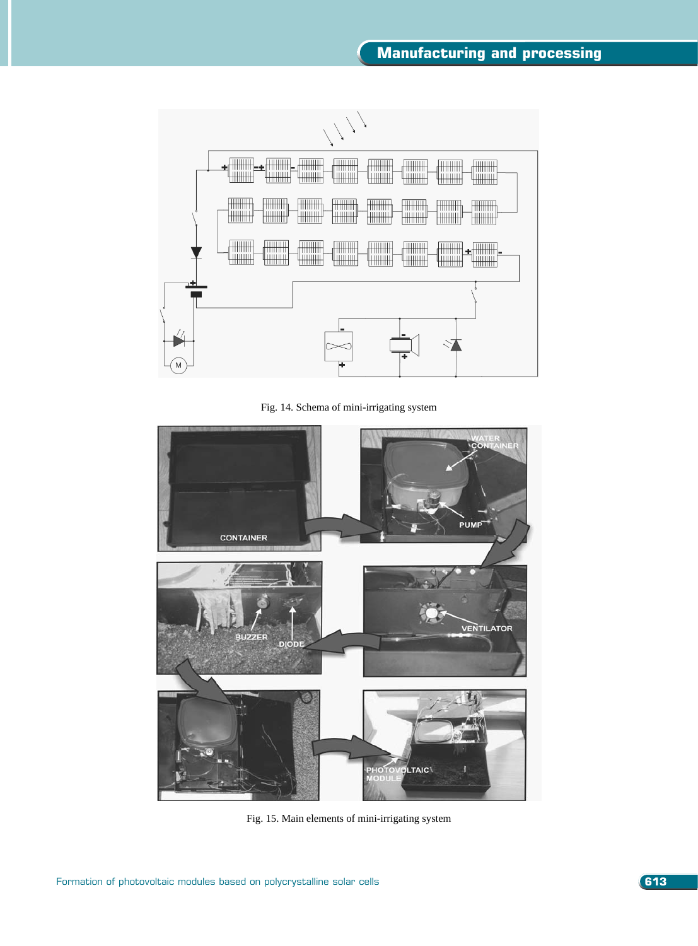

Fig. 14. Schema of mini-irrigating system



Fig. 15. Main elements of mini-irrigating system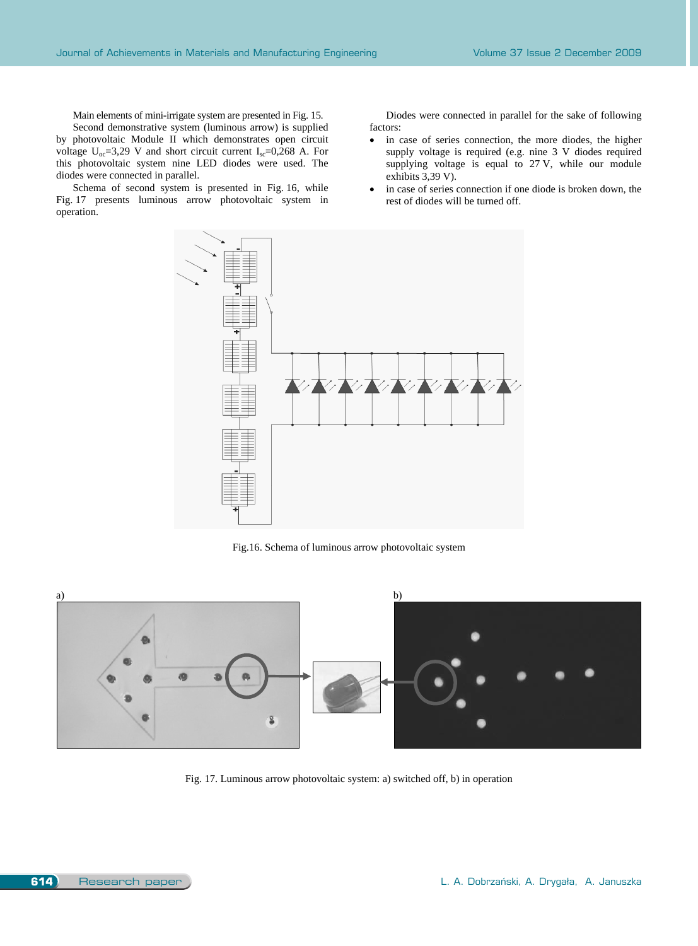Main elements of mini-irrigate system are presented in Fig. 15.

Second demonstrative system (luminous arrow) is supplied by photovoltaic Module II which demonstrates open circuit voltage  $U_{\text{oc}}=3,29$  V and short circuit current I<sub>sc</sub>=0,268 A. For this photovoltaic system nine LED diodes were used. The diodes were connected in parallel.

Schema of second system is presented in Fig. 16, while Fig. 17 presents luminous arrow photovoltaic system in operation.

Diodes were connected in parallel for the sake of following factors:

- in case of series connection, the more diodes, the higher supply voltage is required (e.g. nine 3 V diodes required supplying voltage is equal to 27 V, while our module exhibits 3,39 V).
- in case of series connection if one diode is broken down, the rest of diodes will be turned off.



Fig.16. Schema of luminous arrow photovoltaic system



Fig. 17. Luminous arrow photovoltaic system: a) switched off, b) in operation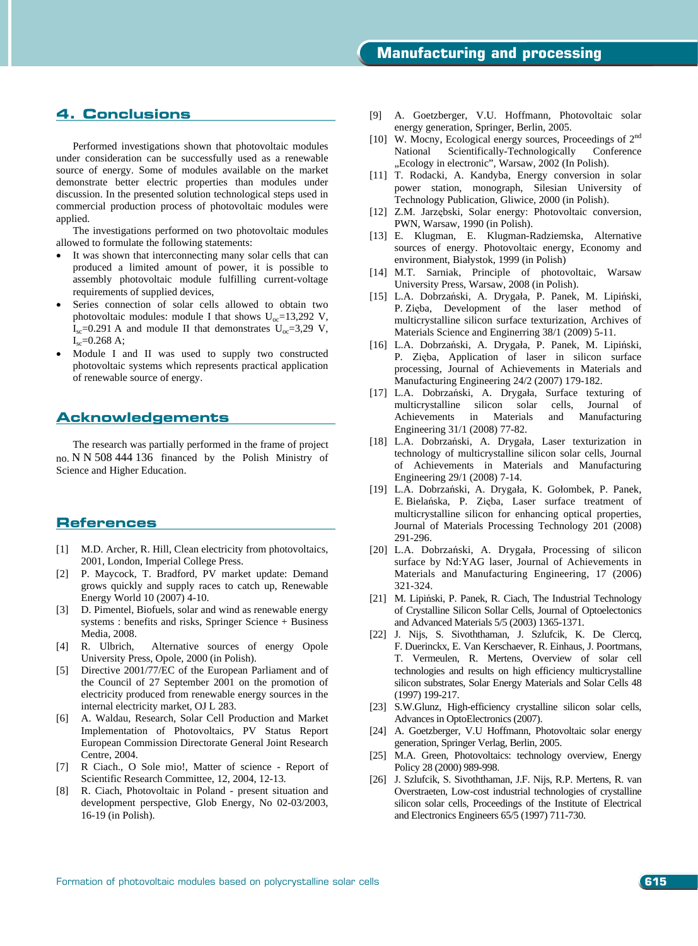# **4. Conclusions 4. Conclusions**

Performed investigations shown that photovoltaic modules under consideration can be successfully used as a renewable source of energy. Some of modules available on the market demonstrate better electric properties than modules under discussion. In the presented solution technological steps used in commercial production process of photovoltaic modules were applied.

The investigations performed on two photovoltaic modules allowed to formulate the following statements:

- It was shown that interconnecting many solar cells that can produced a limited amount of power, it is possible to assembly photovoltaic module fulfilling current-voltage requirements of supplied devices,
- Series connection of solar cells allowed to obtain two photovoltaic modules: module I that shows  $U_{oc}$ =13,292 V,  $I_{sc}=0.291$  A and module II that demonstrates  $U_{oc}=3.29$  V,  $I_{sc}=0.268$  A;
- Module I and II was used to supply two constructed photovoltaic systems which represents practical application of renewable source of energy.

# **Acknowledgements Acknowledgements**

The research was partially performed in the frame of project no. N N 508 444 136 financed by the Polish Ministry of Science and Higher Education.

# **References References**

- [1] M.D. Archer, R. Hill, Clean electricity from photovoltaics, 2001, London, Imperial College Press.
- [2] P. Maycock, T. Bradford, PV market update: Demand grows quickly and supply races to catch up, Renewable Energy World 10 (2007) 4-10.
- [3] D. Pimentel, Biofuels, solar and wind as renewable energy systems : benefits and risks, Springer Science + Business Media, 2008.
- [4] R. Ulbrich, Alternative sources of energy Opole University Press, Opole, 2000 (in Polish).
- [5] Directive 2001/77/EC of the European Parliament and of the Council of 27 September 2001 on the promotion of electricity produced from renewable energy sources in the internal electricity market, OJ L 283.
- [6] A. Waldau, Research, Solar Cell Production and Market Implementation of Photovoltaics, PV Status Report European Commission Directorate General Joint Research Centre, 2004.
- [7] R Ciach., O Sole mio!, Matter of science Report of Scientific Research Committee, 12, 2004, 12-13.
- [8] R. Ciach, Photovoltaic in Poland present situation and development perspective, Glob Energy, No 02-03/2003, 16-19 (in Polish).
- [9] A. Goetzberger, V.U. Hoffmann, Photovoltaic solar energy generation, Springer, Berlin, 2005.
- [10] W. Mocny, Ecological energy sources, Proceedings of 2<sup>nd</sup> National Scientifically-Technologically Conference "Ecology in electronic", Warsaw, 2002 (In Polish).
- [11] T. Rodacki, A. Kandyba, Energy conversion in solar power station, monograph, Silesian University of Technology Publication, Gliwice, 2000 (in Polish).
- [12] Z.M. Jarzębski, Solar energy: Photovoltaic conversion, PWN, Warsaw, 1990 (in Polish).
- [13] E. Klugman, E. Klugman-Radziemska, Alternative sources of energy. Photovoltaic energy, Economy and environment, Biaáystok, 1999 (in Polish)
- [14] M.T. Sarniak, Principle of photovoltaic, Warsaw University Press, Warsaw, 2008 (in Polish).
- [15] L.A. Dobrzański, A. Drygała, P. Panek, M. Lipiński, P. Zięba, Development of the laser method of multicrystalline silicon surface texturization, Archives of Materials Science and Enginerring 38/1 (2009) 5-11.
- [16] L.A. Dobrzański, A. Drygała, P. Panek, M. Lipiński, P. Zięba, Application of laser in silicon surface processing, Journal of Achievements in Materials and Manufacturing Engineering 24/2 (2007) 179-182.
- [17] L.A. Dobrzański, A. Drygała, Surface texturing of multicrystalline silicon solar cells, Journal of Achievements in Materials and Manufacturing Engineering 31/1 (2008) 77-82.
- [18] L.A. Dobrzański, A. Drygała, Laser texturization in technology of multicrystalline silicon solar cells, Journal of Achievements in Materials and Manufacturing Engineering 29/1 (2008) 7-14.
- [19] L.A. Dobrzański, A. Drygała, K. Gołombek, P. Panek, E. Bielańska, P. Zięba, Laser surface treatment of multicrystalline silicon for enhancing optical properties, Journal of Materials Processing Technology 201 (2008) 291-296.
- [20] L.A. Dobrzański, A. Drygała, Processing of silicon surface by Nd:YAG laser, Journal of Achievements in Materials and Manufacturing Engineering, 17 (2006) 321-324.
- [21] M. Lipiński, P. Panek, R. Ciach, The Industrial Technology of Crystalline Silicon Sollar Cells, Journal of Optoelectonics and Advanced Materials 5/5 (2003) 1365-1371.
- [22] J. Nijs, S. Sivoththaman, J. Szlufcik, K. De Clercq, F. Duerinckx, E. Van Kerschaever, R. Einhaus, J. Poortmans, T. Vermeulen, R. Mertens, Overview of solar cell technologies and results on high efficiency multicrystalline silicon substrates, Solar Energy Materials and Solar Cells 48 (1997) 199-217.
- [23] S.W.Glunz, High-efficiency crystalline silicon solar cells, Advances in OptoElectronics (2007).
- [24] A. Goetzberger, V.U Hoffmann, Photovoltaic solar energy generation, Springer Verlag, Berlin, 2005.
- [25] M.A. Green, Photovoltaics: technology overview, Energy Policy 28 (2000) 989-998.
- [26] J. Szlufcik, S. Sivoththaman, J.F. Nijs, R.P. Mertens, R. van Overstraeten, Low-cost industrial technologies of crystalline silicon solar cells, Proceedings of the Institute of Electrical and Electronics Engineers 65/5 (1997) 711-730.